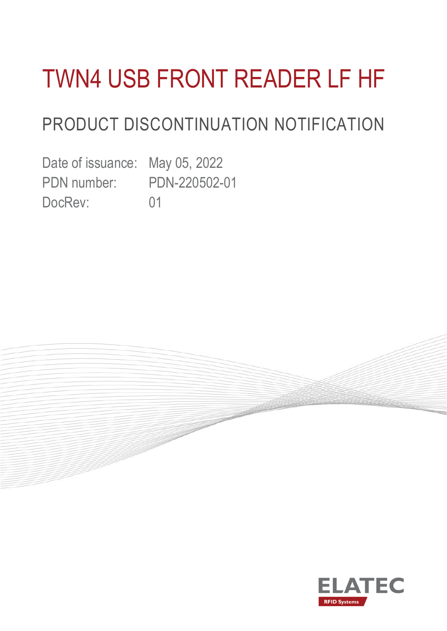# TWN4 USB FRONT READER LF HF

### PRODUCT DISCONTINUATION NOTIFICATION

Date of issuance: May 05, 2022 PDN number: PDN-220502-01 DocRev: 01



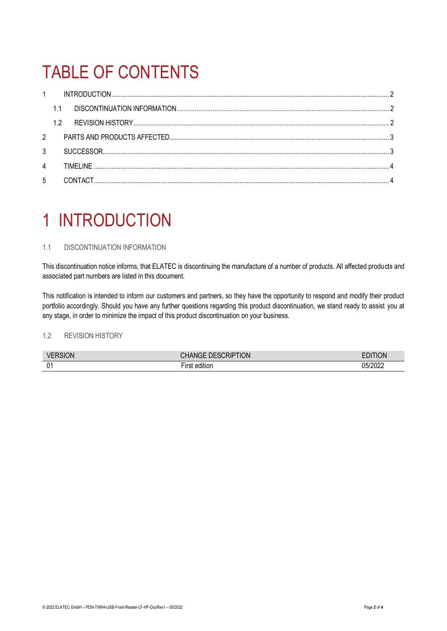## TABLE OF CONTENTS

| $\mathbf{1}$   |    |           |  |
|----------------|----|-----------|--|
|                |    |           |  |
|                | 12 |           |  |
| $2^{\circ}$    |    |           |  |
| 3              |    |           |  |
| $\overline{4}$ |    | TIMFI INF |  |
| 5              |    |           |  |

### <span id="page-1-0"></span>1 INTRODUCTION

### <span id="page-1-1"></span>1.1 DISCONTINUATION INFORMATION

This discontinuation notice informs, that ELATEC is discontinuing the manufacture of a number of products. All affected products and associated part numbers are listed in this document.

This notification is intended to inform our customers and partners, so they have the opportunity to respond and modify their product portfolio accordingly. Should you have any further questions regarding this product discontinuation, we stand ready to assist you at any stage, in order to minimize the impact of this product discontinuation on your business.

### <span id="page-1-2"></span>1.2 REVISION HISTORY

| <b>VERSION</b>     | NOITIN<br>DESCRIP <sup>+</sup><br>N(i) | O٨      |
|--------------------|----------------------------------------|---------|
| $\mathsf{n}$<br>∪∣ | a m<br>editior                         | 05/2022 |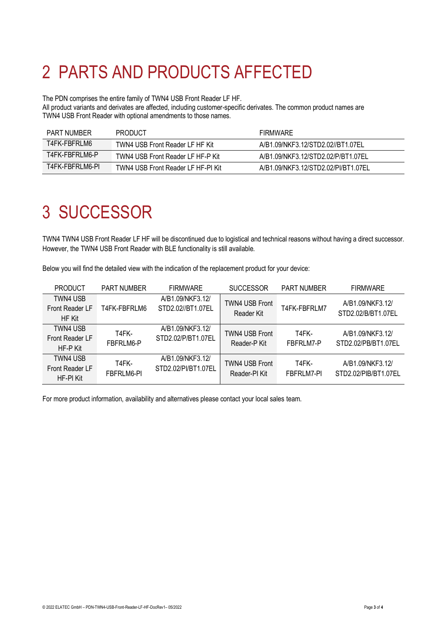# <span id="page-2-0"></span>2 PARTS AND PRODUCTS AFFECTED

The PDN comprises the entire family of TWN4 USB Front Reader LF HF.

All product variants and derivates are affected, including customer-specific derivates. The common product names are TWN4 USB Front Reader with optional amendments to those names.

| <b>PART NUMBER</b> | <b>PRODUCT</b>                     | <b>FIRMWARE</b>                     |
|--------------------|------------------------------------|-------------------------------------|
| T4FK-FBFRLM6       | TWN4 USB Front Reader LF HF Kit    | A/B1.09/NKF3.12/STD2.02//BT1.07EL   |
| T4FK-FBFRLM6-P     | TWN4 USB Front Reader LF HF-P Kit  | A/B1.09/NKF3.12/STD2.02/P/BT1.07EL  |
| T4FK-FBFRLM6-PI    | TWN4 USB Front Reader LF HF-PI Kit | A/B1.09/NKF3.12/STD2.02/PI/BT1.07EL |

### <span id="page-2-1"></span>3 SUCCESSOR

TWN4 TWN4 USB Front Reader LF HF will be discontinued due to logistical and technical reasons without having a direct successor. However, the TWN4 USB Front Reader with BLE functionality is still available.

Below you will find the detailed view with the indication of the replacement product for your device:

| <b>PRODUCT</b>                           | <b>PART NUMBER</b>  | <b>FIRMWARE</b>                         | <b>SUCCESSOR</b>                       | <b>PART NUMBER</b>  | <b>FIRMWARE</b>                          |
|------------------------------------------|---------------------|-----------------------------------------|----------------------------------------|---------------------|------------------------------------------|
| TWN4 USB<br>Front Reader LF<br>HF Kit    | T4FK-FBFRLM6        | A/B1.09/NKF3.12/<br>STD2.02//BT1.07EL   | <b>TWN4 USB Front</b><br>Reader Kit    | T4FK-FBFRLM7        | A/B1.09/NKF3.12/<br>STD2.02/B/BT1.07EL   |
| TWN4 USB<br>Front Reader LF<br>HF-P Kit  | T4FK-<br>FBFRLM6-P  | A/B1.09/NKF3.12/<br>STD2.02/P/BT1.07EL  | <b>TWN4 USB Front</b><br>Reader-P Kit  | T4FK-<br>FBFRLM7-P  | A/B1.09/NKF3.12/<br>STD2.02/PB/BT1.07EL  |
| TWN4 USB<br>Front Reader LF<br>HF-PI Kit | T4FK-<br>FBFRLM6-PI | A/B1.09/NKF3.12/<br>STD2.02/PI/BT1.07EL | <b>TWN4 USB Front</b><br>Reader-PI Kit | T4FK-<br>FBFRLM7-PI | A/B1.09/NKF3.12/<br>STD2.02/PIB/BT1.07EL |

For more product information, availability and alternatives please contact your local sales team.